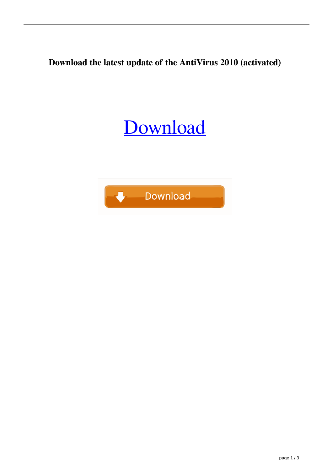**Download the latest update of the AntiVirus 2010 (activated)**

## [Download](https://urlca.com/2l0tnp)

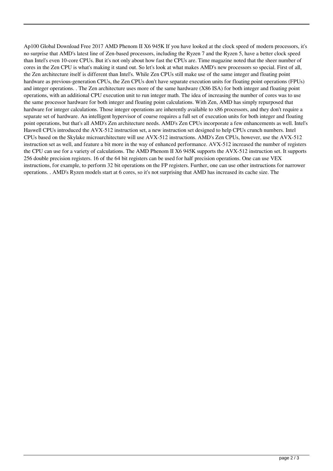Ap100 Global Download Free 2017 AMD Phenom II X6 945K If you have looked at the clock speed of modern processors, it's no surprise that AMD's latest line of Zen-based processors, including the Ryzen 7 and the Ryzen 5, have a better clock speed than Intel's even 10-core CPUs. But it's not only about how fast the CPUs are. Time magazine noted that the sheer number of cores in the Zen CPU is what's making it stand out. So let's look at what makes AMD's new processors so special. First of all, the Zen architecture itself is different than Intel's. While Zen CPUs still make use of the same integer and floating point hardware as previous-generation CPUs, the Zen CPUs don't have separate execution units for floating point operations (FPUs) and integer operations. . The Zen architecture uses more of the same hardware (X86 ISA) for both integer and floating point operations, with an additional CPU execution unit to run integer math. The idea of increasing the number of cores was to use the same processor hardware for both integer and floating point calculations. With Zen, AMD has simply repurposed that hardware for integer calculations. Those integer operations are inherently available to x86 processors, and they don't require a separate set of hardware. An intelligent hypervisor of course requires a full set of execution units for both integer and floating point operations, but that's all AMD's Zen architecture needs. AMD's Zen CPUs incorporate a few enhancements as well. Intel's Haswell CPUs introduced the AVX-512 instruction set, a new instruction set designed to help CPUs crunch numbers. Intel CPUs based on the Skylake microarchitecture will use AVX-512 instructions. AMD's Zen CPUs, however, use the AVX-512 instruction set as well, and feature a bit more in the way of enhanced performance. AVX-512 increased the number of registers the CPU can use for a variety of calculations. The AMD Phenom II X6 945K supports the AVX-512 instruction set. It supports 256 double precision registers. 16 of the 64 bit registers can be used for half precision operations. One can use VEX instructions, for example, to perform 32 bit operations on the FP registers. Further, one can use other instructions for narrower operations. . AMD's Ryzen models start at 6 cores, so it's not surprising that AMD has increased its cache size. The